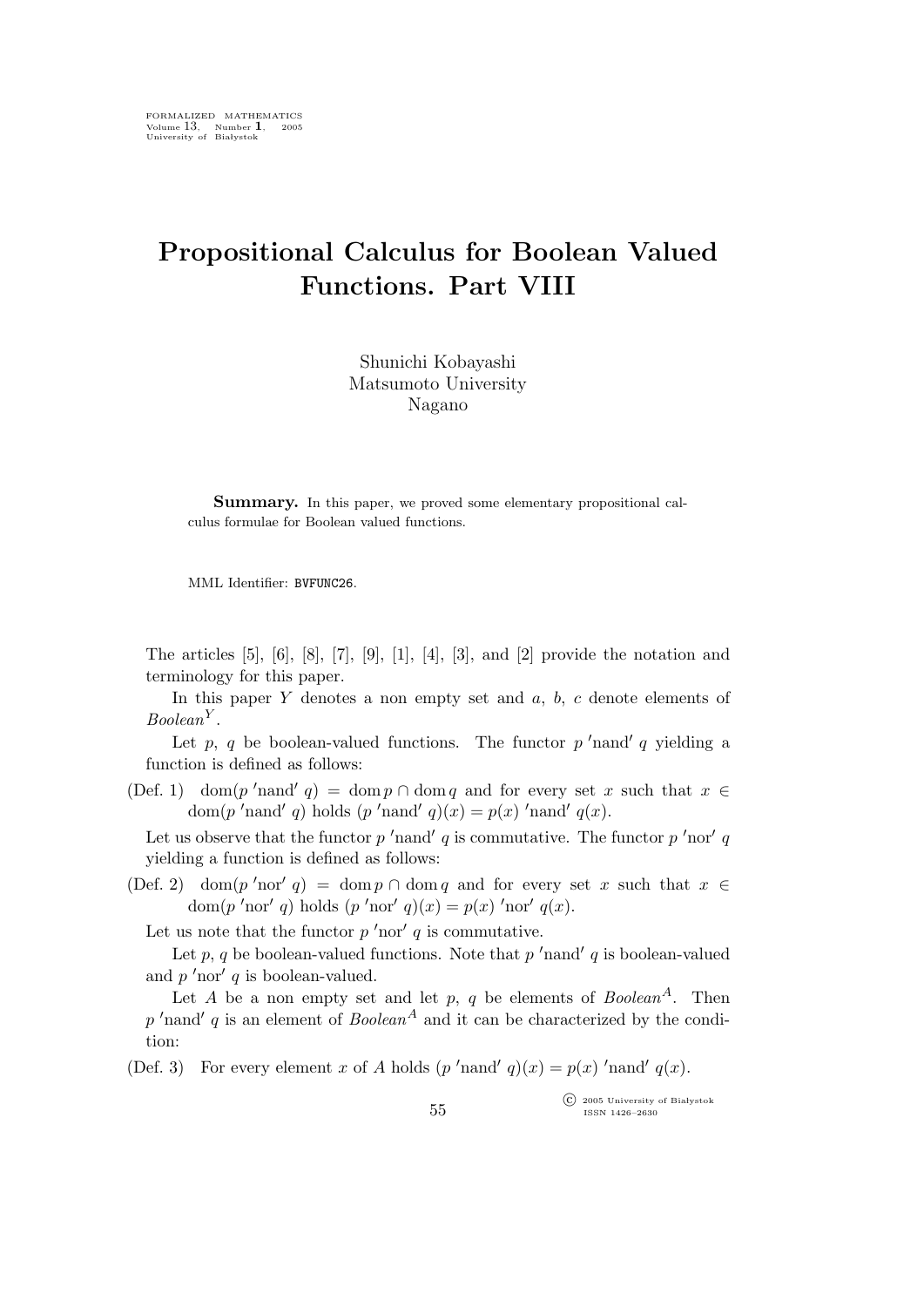## Propositional Calculus for Boolean Valued Functions. Part VIII

Shunichi Kobayashi Matsumoto University Nagano

Summary. In this paper, we proved some elementary propositional calculus formulae for Boolean valued functions.

MML Identifier: BVFUNC26.

The articles  $[5]$ ,  $[6]$ ,  $[8]$ ,  $[7]$ ,  $[9]$ ,  $[1]$ ,  $[4]$ ,  $[3]$ , and  $[2]$  provide the notation and terminology for this paper.

In this paper  $Y$  denotes a non empty set and  $a, b, c$  denote elements of  $Boolean<sup>Y</sup>$ .

Let p, q be boolean-valued functions. The functor  $p'$  nand' q yielding a function is defined as follows:

(Def. 1) dom(p'nand' q) = dom p ∩ dom q and for every set x such that  $x \in$ dom(p'nand' q) holds (p'nand' q)(x) = p(x) 'nand' q(x).

Let us observe that the functor  $p'$  nand'  $q$  is commutative. The functor  $p'$  nor'  $q$ yielding a function is defined as follows:

(Def. 2) dom(p'nor' q) = dom p ∩ dom q and for every set x such that  $x \in$ dom $(p'$ nor' q) holds  $(p'$ nor' q) $(x) = p(x)'$ nor' q $(x)$ .

Let us note that the functor  $p'$  nor'  $q$  is commutative.

Let  $p, q$  be boolean-valued functions. Note that  $p'$  nand'  $q$  is boolean-valued and  $p'$ nor'  $q$  is boolean-valued.

Let  $A$  be a non empty set and let  $p, q$  be elements of  $Boolean^A$ . Then  $p'$ nand' q is an element of Boolean<sup>A</sup> and it can be characterized by the condition:

(Def. 3) For every element x of A holds  $(p'$ nand'  $q)(x) = p(x)'$ nand'  $q(x)$ .

 $\widehat{\mathbb{C}}$  2005 University of Białystok ISSN 1426–2630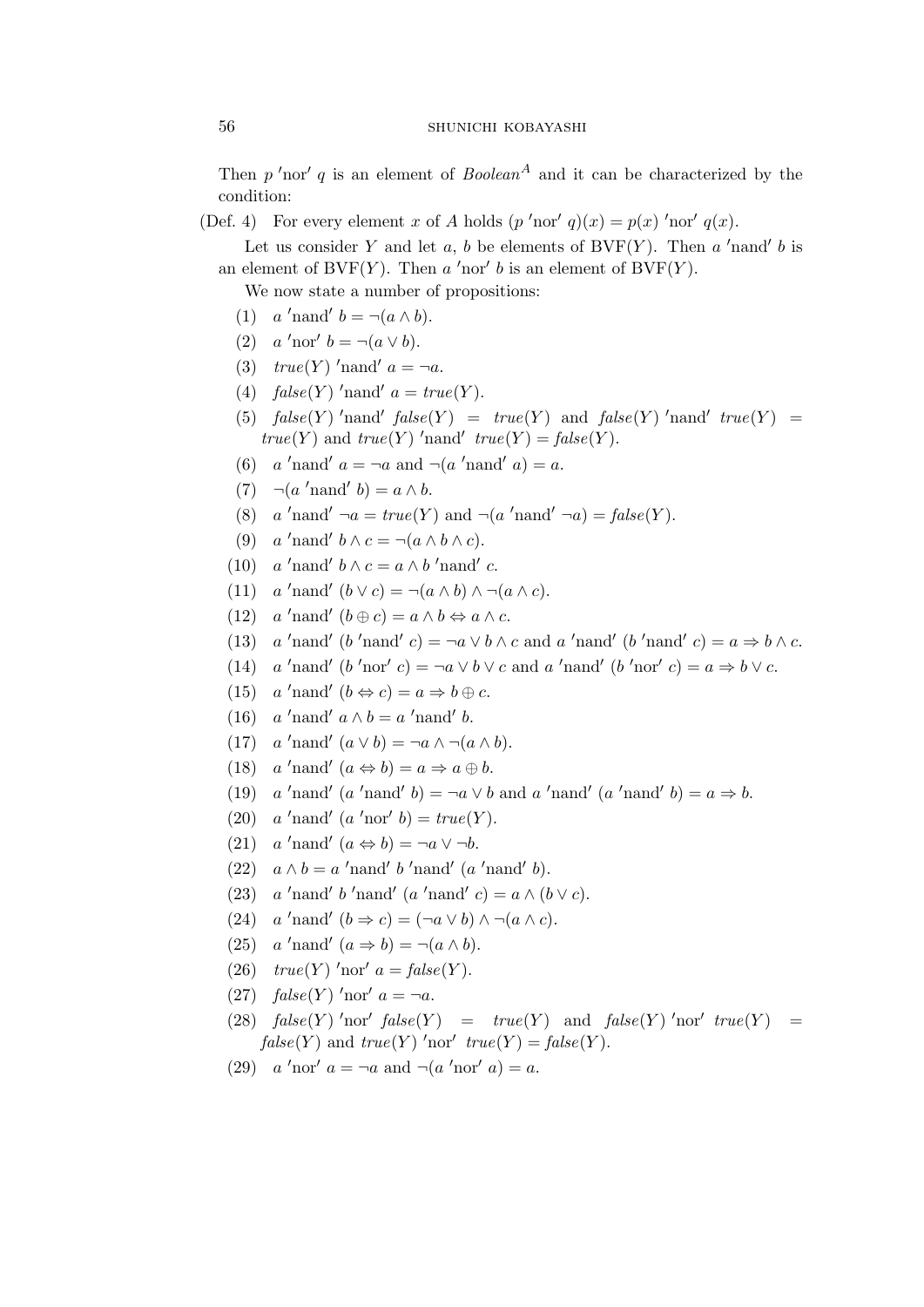Then  $p'$ nor'  $q$  is an element of  $Boolean<sup>A</sup>$  and it can be characterized by the condition:

(Def. 4) For every element x of A holds  $(p'nor' q)(x) = p(x)'nor' q(x)$ .

Let us consider Y and let  $a, b$  be elements of BVF $(Y)$ . Then  $a'$  hand'  $b$  is an element of BVF(Y). Then  $a'$  nor'  $b$  is an element of  $\text{BVF}(Y)$ .

We now state a number of propositions:

- (1)  $a'$  nand'  $b = \neg(a \wedge b)$ .
- (2)  $a'$ nor'  $b = \neg(a \lor b)$ .
- (3)  $true(Y)$ 'nand'  $a = \neg a$ .
- (4)  $false(Y)$  'nand'  $a = true(Y)$ .
- (5)  $false(Y)$  'nand'  $false(Y) = true(Y)$  and  $false(Y)$  'nand'  $true(Y) =$  $true(Y)$  and  $true(Y)$  'nand'  $true(Y) = false(Y)$ .
- (6)  $a'$ nand'  $a = \neg a$  and  $\neg(a'$ nand'  $a) = a$ .
- (7)  $\neg(a'$ nand'  $b) = a \wedge b$ .
- (8)  $a'$ nand'  $\neg a = true(Y)$  and  $\neg(a'$ nand'  $\neg a) = false(Y)$ .
- (9) a 'nand'  $b \wedge c = \neg(a \wedge b \wedge c)$ .
- (10) a 'nand'  $b \wedge c = a \wedge b$  'nand' c.
- (11)  $a'$ nand'  $(b \lor c) = \neg(a \land b) \land \neg(a \land c)$ .
- (12)  $a'$ nand'  $(b \oplus c) = a \wedge b \Leftrightarrow a \wedge c$ .
- (13) a 'nand' (b 'nand' c) = ¬a  $\vee$  b  $\wedge$  c and a 'nand' (b 'nand' c) =  $a \Rightarrow b \wedge c$ .
- (14) a 'nand'  $(b \text{ 'nor'} c) = \neg a \lor b \lor c$  and a 'nand'  $(b \text{ 'nor'} c) = a \Rightarrow b \lor c$ .
- (15)  $a'$ nand'  $(b \Leftrightarrow c) = a \Rightarrow b \oplus c$ .
- $(16)$  $'$ nand'  $a \wedge b = a$  'nand'  $b$ .
- $(17)$ 'nand'  $(a \vee b) = \neg a \wedge \neg (a \wedge b)$ .
- (18)  $a'$ nand'  $(a \Leftrightarrow b) = a \Rightarrow a \oplus b$ .
- $(19)$ 'nand'  $(a \text{ 'nand' } b) = \neg a \lor b$  and  $a \text{ 'nand' } (a \text{ 'nand' } b) = a \Rightarrow b$ .
- (20) a 'nand'  $(a \text{ 'nor' } b) = true(Y)$ .
- (21)  $a'$ nand'  $(a \Leftrightarrow b) = \neg a \vee \neg b$ .
- (22)  $a \wedge b = a'$ nand'  $b'$ nand'  $(a'$ nand'  $b)$ .
- (23) a 'nand' b 'nand' (a 'nand' c) =  $a \wedge (b \vee c)$ .
- (24) a 'nand'  $(b \Rightarrow c) = (\neg a \lor b) \land \neg (a \land c)$ .
- (25) a 'nand'  $(a \Rightarrow b) = \neg(a \land b)$ .
- (26)  $true(Y)$  'nor'  $a = false(Y)$ .
- (27)  $false(Y)$  'nor'  $a = \neg a$ .
- (28)  $false(Y)$  'nor'  $false(Y) = true(Y)$  and  $false(Y)$  'nor'  $true(Y) =$  $false(Y)$  and  $true(Y)$  'nor'  $true(Y) = false(Y)$ .
- (29)  $a'$ nor'  $a = \neg a$  and  $\neg(a'$ nor'  $a) = a$ .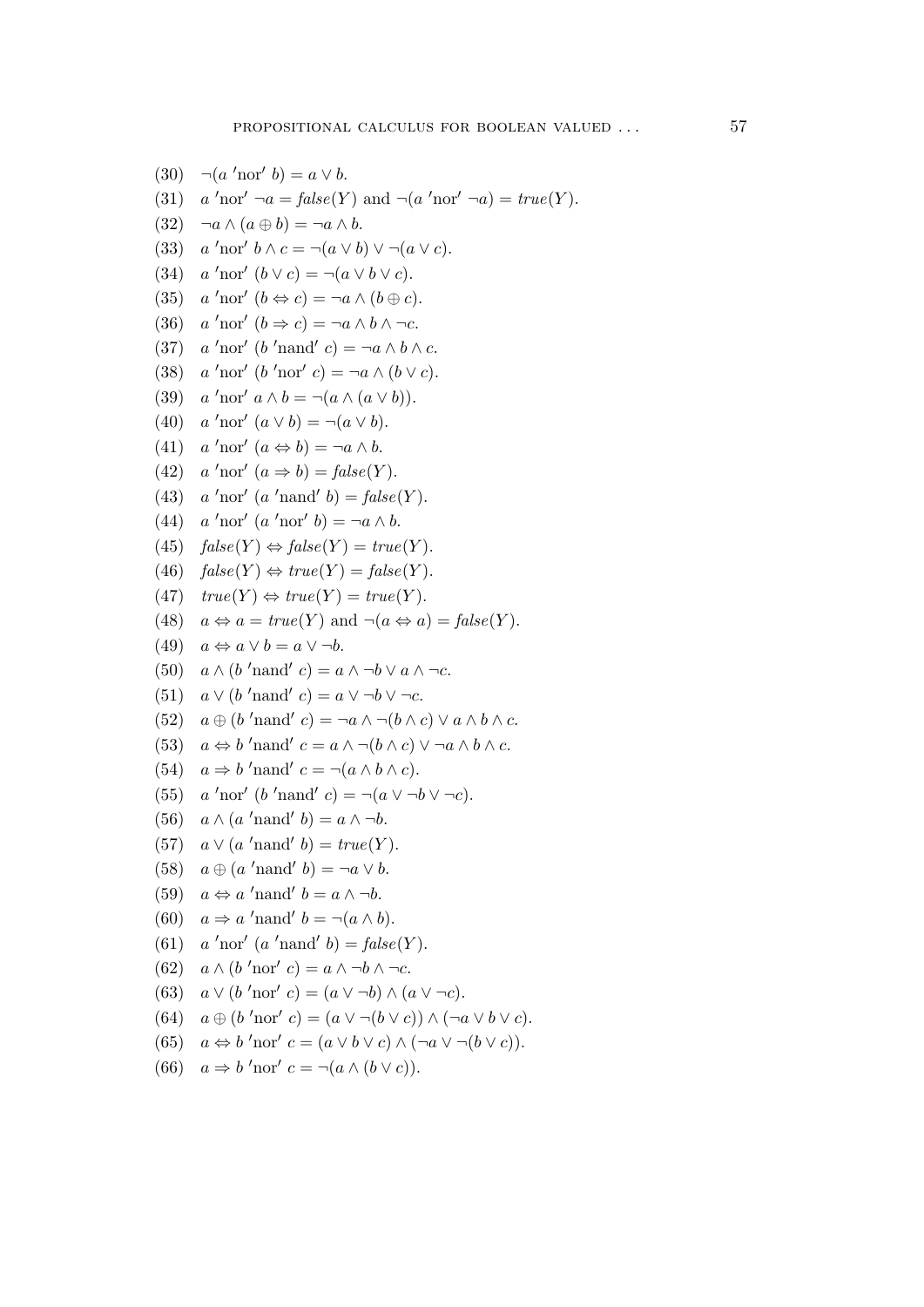```
(30) \neg(a' \text{nor}' b) = a \lor b.
(31)'nor' \neg a = \text{false}(Y) and \neg(a \text{ 'nor' } \neg a) = \text{true}(Y).
(32) \quad \neg a \wedge (a \oplus b) = \neg a \wedge b.(33)'nor' b \wedge c = \neg(a \vee b) \vee \neg(a \vee c).
(34) a'nor' (b \vee c) = \neg(a \vee b \vee c).
(35)'nor' (b \Leftrightarrow c) = \neg a \wedge (b \oplus c).(36)'nor' (b \Rightarrow c) = \neg a \land b \land \neg c.
(37)'nor' (b 'nand' c) = ¬a \wedge b \wedge c.
(38) a'nor' (b'nor' c) = \neg a \wedge (b \vee c).
(39) a'nor' a \wedge b = \neg(a \wedge (a \vee b)).(40) a'nor' (a \lor b) = \neg(a \lor b).
(41) a'nor' (a \Leftrightarrow b) = \neg a \wedge b.
(42)'nor' (a \Rightarrow b) = false(Y).
(43)'nor' (a \text{ 'nand' } b) = \text{false}(Y).
(44) a'nor' (a'nor' b) = \neg a \wedge b.
(45) false(Y) \Leftrightarrow false(Y) = true(Y).
(46) false(Y) \Leftrightarrow true(Y) = false(Y).
(47) true(Y) \Leftrightarrow true(Y) = true(Y).
(48) a \Leftrightarrow a = true(Y) and \neg(a \Leftrightarrow a) = false(Y).
(49) a \Leftrightarrow a \vee b = a \vee \neg b.
(50) a \wedge (b' \text{nand}' c) = a \wedge \neg b \vee a \wedge \neg c.
(51) a \vee (b' \text{mand}' c) = a \vee \neg b \vee \neg c.
(52) a \oplus (b' \text{nand}' c) = \neg a \wedge \neg (b \wedge c) \vee a \wedge b \wedge c.(53) a \Leftrightarrow b'nand' c = a \wedge \neg (b \wedge c) \vee \neg a \wedge b \wedge c.
(54) a \Rightarrow b' nand' c = \neg(a \land b \land c).
(55)'nor' (b 'nand' c) = \neg(a \lor \neg b \lor \neg c).
(56) a \wedge (a'nand' b) = a \wedge \neg b.
(57) a \vee (a'nand' b) = true(Y).
(58) a \oplus (a'nand' b) = \neg a \vee b.
(59) a \Leftrightarrow a'nand' b = a \wedge \neg b.
(60) a \Rightarrow a' nand' b = \neg(a \land b).
(61) a'nor' (a'nand' b) = false(Y).
(62) a \wedge (b' \text{nor}' c) = a \wedge \neg b \wedge \neg c.
(63) a \vee (b \text{ 'nor' } c) = (a \vee \neg b) \wedge (a \vee \neg c).(64) a \oplus (b' \text{nor}' c) = (a \vee \neg (b \vee c)) \wedge (\neg a \vee b \vee c).(65) a \Leftrightarrow b'nor' c = (a \lor b \lor c) \land (\neg a \lor \neg (b \lor c)).
(66) a \Rightarrow b'nor' c = \neg(a \land (b \lor c)).
```